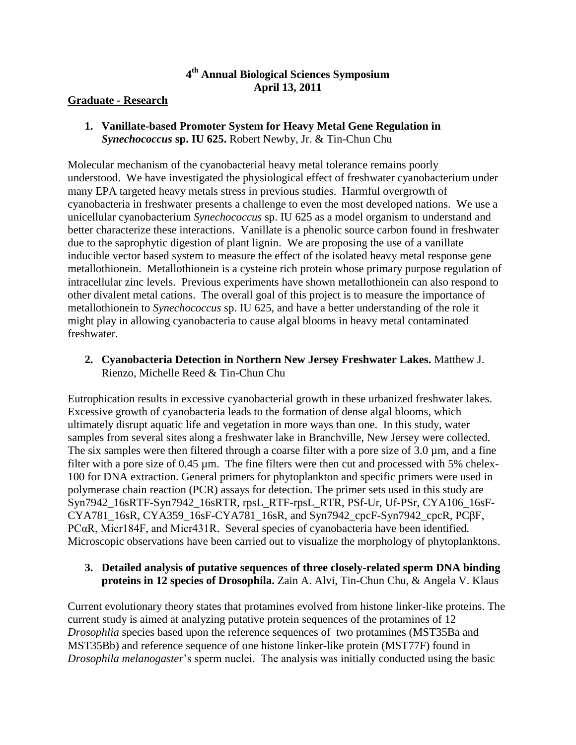# **4 th Annual Biological Sciences Symposium April 13, 2011**

### **Graduate - Research**

**1. Vanillate-based Promoter System for Heavy Metal Gene Regulation in**  *Synechococcus* **sp. IU 625.** Robert Newby, Jr. & Tin-Chun Chu

Molecular mechanism of the cyanobacterial heavy metal tolerance remains poorly understood. We have investigated the physiological effect of freshwater cyanobacterium under many EPA targeted heavy metals stress in previous studies. Harmful overgrowth of cyanobacteria in freshwater presents a challenge to even the most developed nations. We use a unicellular cyanobacterium *Synechococcus* sp. IU 625 as a model organism to understand and better characterize these interactions. Vanillate is a phenolic source carbon found in freshwater due to the saprophytic digestion of plant lignin. We are proposing the use of a vanillate inducible vector based system to measure the effect of the isolated heavy metal response gene metallothionein. Metallothionein is a cysteine rich protein whose primary purpose regulation of intracellular zinc levels. Previous experiments have shown metallothionein can also respond to other divalent metal cations. The overall goal of this project is to measure the importance of metallothionein to *Synechococcus* sp. IU 625, and have a better understanding of the role it might play in allowing cyanobacteria to cause algal blooms in heavy metal contaminated freshwater.

**2. Cyanobacteria Detection in Northern New Jersey Freshwater Lakes.** Matthew J. Rienzo, Michelle Reed & Tin-Chun Chu

Eutrophication results in excessive cyanobacterial growth in these urbanized freshwater lakes. Excessive growth of cyanobacteria leads to the formation of dense algal blooms, which ultimately disrupt aquatic life and vegetation in more ways than one. In this study, water samples from several sites along a freshwater lake in Branchville, New Jersey were collected. The six samples were then filtered through a coarse filter with a pore size of 3.0  $\mu$ m, and a fine filter with a pore size of 0.45 µm. The fine filters were then cut and processed with 5% chelex-100 for DNA extraction. General primers for phytoplankton and specific primers were used in polymerase chain reaction (PCR) assays for detection. The primer sets used in this study are Syn7942\_16sRTF-Syn7942\_16sRTR, rpsL\_RTF-rpsL\_RTR, PSf-Ur, Uf-PSr, CYA106\_16sF-CYA781\_16sR, CYA359\_16sF-CYA781\_16sR, and Syn7942\_cpcF-Syn7942\_cpcR, PCβF, PCαR, Micr184F, and Micr431R. Several species of cyanobacteria have been identified. Microscopic observations have been carried out to visualize the morphology of phytoplanktons.

# **3. Detailed analysis of putative sequences of three closely-related sperm DNA binding proteins in 12 species of Drosophila.** Zain A. Alvi, Tin-Chun Chu, & Angela V. Klaus

Current evolutionary theory states that protamines evolved from histone linker-like proteins. The current study is aimed at analyzing putative protein sequences of the protamines of 12 *Drosophlia* species based upon the reference sequences of two protamines (MST35Ba and MST35Bb) and reference sequence of one histone linker-like protein (MST77F) found in *Drosophila melanogaster*'s sperm nuclei. The analysis was initially conducted using the basic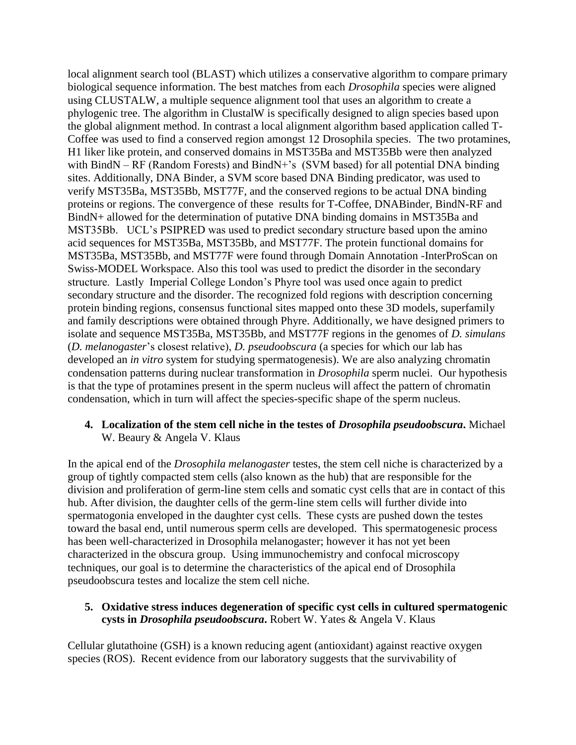local alignment search tool (BLAST) which utilizes a conservative algorithm to compare primary biological sequence information. The best matches from each *Drosophila* species were aligned using CLUSTALW, a multiple sequence alignment tool that uses an algorithm to create a phylogenic tree. The algorithm in ClustalW is specifically designed to align species based upon the global alignment method. In contrast a local alignment algorithm based application called T-Coffee was used to find a conserved region amongst 12 Drosophila species. The two protamines, H1 liker like protein, and conserved domains in MST35Ba and MST35Bb were then analyzed with BindN – RF (Random Forests) and BindN+'s (SVM based) for all potential DNA binding sites. Additionally, DNA Binder, a SVM score based DNA Binding predicator, was used to verify MST35Ba, MST35Bb, MST77F, and the conserved regions to be actual DNA binding proteins or regions. The convergence of these results for T-Coffee, DNABinder, BindN-RF and BindN+ allowed for the determination of putative DNA binding domains in MST35Ba and MST35Bb. UCL's PSIPRED was used to predict secondary structure based upon the amino acid sequences for MST35Ba, MST35Bb, and MST77F. The protein functional domains for MST35Ba, MST35Bb, and MST77F were found through Domain Annotation -InterProScan on Swiss-MODEL Workspace. Also this tool was used to predict the disorder in the secondary structure. Lastly Imperial College London's Phyre tool was used once again to predict secondary structure and the disorder. The recognized fold regions with description concerning protein binding regions, consensus functional sites mapped onto these 3D models, superfamily and family descriptions were obtained through Phyre. Additionally, we have designed primers to isolate and sequence MST35Ba, MST35Bb, and MST77F regions in the genomes of *D. simulans* (*D. melanogaster*'s closest relative), *D. pseudoobscura* (a species for which our lab has developed an *in vitro* system for studying spermatogenesis). We are also analyzing chromatin condensation patterns during nuclear transformation in *Drosophila* sperm nuclei. Our hypothesis is that the type of protamines present in the sperm nucleus will affect the pattern of chromatin condensation, which in turn will affect the species-specific shape of the sperm nucleus.

# **4. Localization of the stem cell niche in the testes of** *Drosophila pseudoobscura***.** Michael W. Beaury & Angela V. Klaus

In the apical end of the *Drosophila melanogaster* testes, the stem cell niche is characterized by a group of tightly compacted stem cells (also known as the hub) that are responsible for the division and proliferation of germ-line stem cells and somatic cyst cells that are in contact of this hub. After division, the daughter cells of the germ-line stem cells will further divide into spermatogonia enveloped in the daughter cyst cells. These cysts are pushed down the testes toward the basal end, until numerous sperm cells are developed. This spermatogenesic process has been well-characterized in Drosophila melanogaster; however it has not yet been characterized in the obscura group. Using immunochemistry and confocal microscopy techniques, our goal is to determine the characteristics of the apical end of Drosophila pseudoobscura testes and localize the stem cell niche.

### **5. Oxidative stress induces degeneration of specific cyst cells in cultured spermatogenic cysts in** *Drosophila pseudoobscura***.** Robert W. Yates & Angela V. Klaus

Cellular glutathoine (GSH) is a known reducing agent (antioxidant) against reactive oxygen species (ROS). Recent evidence from our laboratory suggests that the survivability of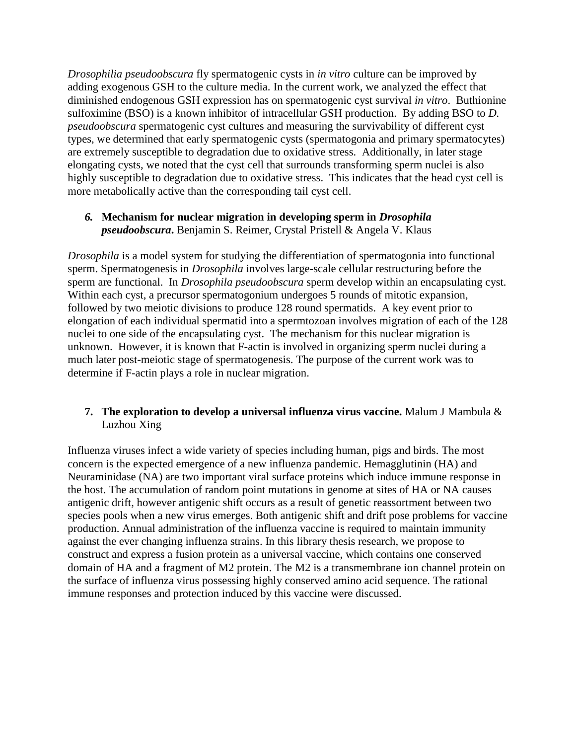*Drosophilia pseudoobscura* fly spermatogenic cysts in *in vitro* culture can be improved by adding exogenous GSH to the culture media. In the current work, we analyzed the effect that diminished endogenous GSH expression has on spermatogenic cyst survival *in vitro*. Buthionine sulfoximine (BSO) is a known inhibitor of intracellular GSH production. By adding BSO to *D. pseudoobscura* spermatogenic cyst cultures and measuring the survivability of different cyst types, we determined that early spermatogenic cysts (spermatogonia and primary spermatocytes) are extremely susceptible to degradation due to oxidative stress. Additionally, in later stage elongating cysts, we noted that the cyst cell that surrounds transforming sperm nuclei is also highly susceptible to degradation due to oxidative stress. This indicates that the head cyst cell is more metabolically active than the corresponding tail cyst cell.

### *6.* **Mechanism for nuclear migration in developing sperm in** *Drosophila pseudoobscura***.** Benjamin S. Reimer, Crystal Pristell & Angela V. Klaus

*Drosophila* is a model system for studying the differentiation of spermatogonia into functional sperm. Spermatogenesis in *Drosophila* involves large-scale cellular restructuring before the sperm are functional. In *Drosophila pseudoobscura* sperm develop within an encapsulating cyst. Within each cyst, a precursor spermatogonium undergoes 5 rounds of mitotic expansion, followed by two meiotic divisions to produce 128 round spermatids. A key event prior to elongation of each individual spermatid into a spermtozoan involves migration of each of the 128 nuclei to one side of the encapsulating cyst. The mechanism for this nuclear migration is unknown. However, it is known that F-actin is involved in organizing sperm nuclei during a much later post-meiotic stage of spermatogenesis. The purpose of the current work was to determine if F-actin plays a role in nuclear migration.

# **7. The exploration to develop a universal influenza virus vaccine.** Malum J Mambula & Luzhou Xing

Influenza viruses infect a wide variety of species including human, pigs and birds. The most concern is the expected emergence of a new influenza pandemic. Hemagglutinin (HA) and Neuraminidase (NA) are two important viral surface proteins which induce immune response in the host. The accumulation of random point mutations in genome at sites of HA or NA causes antigenic drift, however antigenic shift occurs as a result of genetic reassortment between two species pools when a new virus emerges. Both antigenic shift and drift pose problems for vaccine production. Annual administration of the influenza vaccine is required to maintain immunity against the ever changing influenza strains. In this library thesis research, we propose to construct and express a fusion protein as a universal vaccine, which contains one conserved domain of HA and a fragment of M2 protein. The M2 is a transmembrane ion channel protein on the surface of influenza virus possessing highly conserved amino acid sequence. The rational immune responses and protection induced by this vaccine were discussed.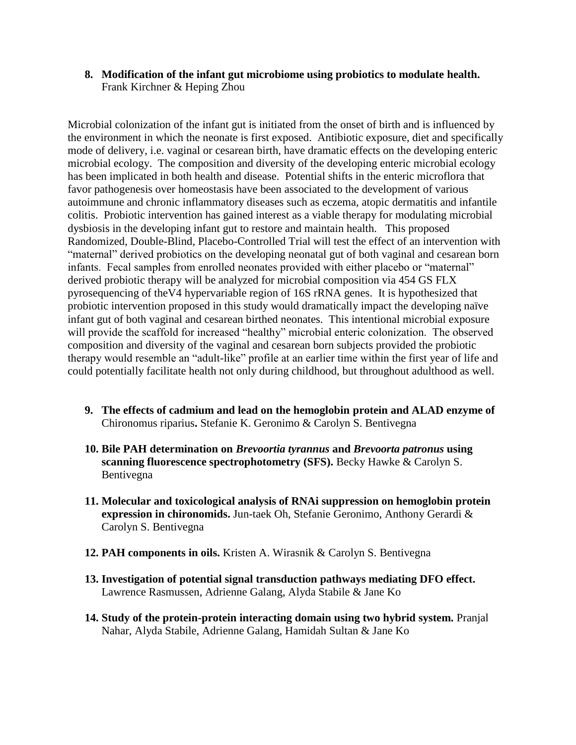**8. Modification of the infant gut microbiome using probiotics to modulate health.**  Frank Kirchner & Heping Zhou

Microbial colonization of the infant gut is initiated from the onset of birth and is influenced by the environment in which the neonate is first exposed. Antibiotic exposure, diet and specifically mode of delivery, i.e. vaginal or cesarean birth, have dramatic effects on the developing enteric microbial ecology. The composition and diversity of the developing enteric microbial ecology has been implicated in both health and disease. Potential shifts in the enteric microflora that favor pathogenesis over homeostasis have been associated to the development of various autoimmune and chronic inflammatory diseases such as eczema, atopic dermatitis and infantile colitis. Probiotic intervention has gained interest as a viable therapy for modulating microbial dysbiosis in the developing infant gut to restore and maintain health. This proposed Randomized, Double-Blind, Placebo-Controlled Trial will test the effect of an intervention with "maternal" derived probiotics on the developing neonatal gut of both vaginal and cesarean born infants. Fecal samples from enrolled neonates provided with either placebo or "maternal" derived probiotic therapy will be analyzed for microbial composition via 454 GS FLX pyrosequencing of theV4 hypervariable region of 16S rRNA genes. It is hypothesized that probiotic intervention proposed in this study would dramatically impact the developing naïve infant gut of both vaginal and cesarean birthed neonates. This intentional microbial exposure will provide the scaffold for increased "healthy" microbial enteric colonization. The observed composition and diversity of the vaginal and cesarean born subjects provided the probiotic therapy would resemble an "adult-like" profile at an earlier time within the first year of life and could potentially facilitate health not only during childhood, but throughout adulthood as well.

- **9. The effects of cadmium and lead on the hemoglobin protein and ALAD enzyme of**  Chironomus riparius**.** Stefanie K. Geronimo & Carolyn S. Bentivegna
- **10. Bile PAH determination on** *Brevoortia tyrannus* **and** *Brevoorta patronus* **using scanning fluorescence spectrophotometry (SFS).** Becky Hawke & Carolyn S. Bentivegna
- **11. Molecular and toxicological analysis of RNAi suppression on hemoglobin protein expression in chironomids.** Jun-taek Oh, Stefanie Geronimo, Anthony Gerardi & Carolyn S. Bentivegna
- **12. PAH components in oils.** Kristen A. Wirasnik & Carolyn S. Bentivegna
- **13. Investigation of potential signal transduction pathways mediating DFO effect.**  Lawrence Rasmussen, Adrienne Galang, Alyda Stabile & Jane Ko
- **14. Study of the protein-protein interacting domain using two hybrid system.** Pranjal Nahar, Alyda Stabile, Adrienne Galang, Hamidah Sultan & Jane Ko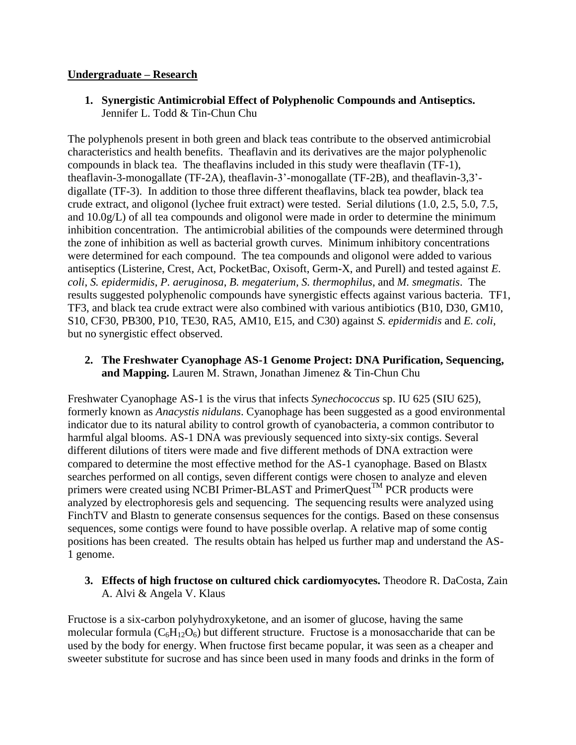### **Undergraduate – Research**

**1. Synergistic Antimicrobial Effect of Polyphenolic Compounds and Antiseptics.**  Jennifer L. Todd & Tin-Chun Chu

The polyphenols present in both green and black teas contribute to the observed antimicrobial characteristics and health benefits. Theaflavin and its derivatives are the major polyphenolic compounds in black tea. The theaflavins included in this study were theaflavin (TF-1), theaflavin-3-monogallate (TF-2A), theaflavin-3'-monogallate (TF-2B), and theaflavin-3,3' digallate (TF-3). In addition to those three different theaflavins, black tea powder, black tea crude extract, and oligonol (lychee fruit extract) were tested. Serial dilutions (1.0, 2.5, 5.0, 7.5, and 10.0g/L) of all tea compounds and oligonol were made in order to determine the minimum inhibition concentration. The antimicrobial abilities of the compounds were determined through the zone of inhibition as well as bacterial growth curves. Minimum inhibitory concentrations were determined for each compound. The tea compounds and oligonol were added to various antiseptics (Listerine, Crest, Act, PocketBac, Oxisoft, Germ-X, and Purell) and tested against *E. coli*, *S. epidermidis*, *P. aeruginosa*, *B. megaterium, S. thermophilus*, and *M. smegmatis*. The results suggested polyphenolic compounds have synergistic effects against various bacteria. TF1, TF3, and black tea crude extract were also combined with various antibiotics (B10, D30, GM10, S10, CF30, PB300, P10, TE30, RA5, AM10, E15, and C30) against *S. epidermidis* and *E. coli*, but no synergistic effect observed.

**2. The Freshwater Cyanophage AS-1 Genome Project: DNA Purification, Sequencing, and Mapping.** Lauren M. Strawn, Jonathan Jimenez & Tin-Chun Chu

Freshwater Cyanophage AS-1 is the virus that infects *Synechococcus* sp. IU 625 (SIU 625), formerly known as *Anacystis nidulans*. Cyanophage has been suggested as a good environmental indicator due to its natural ability to control growth of cyanobacteria, a common contributor to harmful algal blooms. AS-1 DNA was previously sequenced into sixty-six contigs. Several different dilutions of titers were made and five different methods of DNA extraction were compared to determine the most effective method for the AS-1 cyanophage. Based on Blastx searches performed on all contigs, seven different contigs were chosen to analyze and eleven primers were created using NCBI Primer-BLAST and PrimerQuest<sup>TM</sup> PCR products were analyzed by electrophoresis gels and sequencing. The sequencing results were analyzed using FinchTV and Blastn to generate consensus sequences for the contigs. Based on these consensus sequences, some contigs were found to have possible overlap. A relative map of some contig positions has been created. The results obtain has helped us further map and understand the AS-1 genome.

# **3. Effects of high fructose on cultured chick cardiomyocytes.** Theodore R. DaCosta, Zain A. Alvi & Angela V. Klaus

Fructose is a six-carbon polyhydroxyketone, and an isomer of glucose, having the same molecular formula  $(C_6H_{12}O_6)$  but different structure. Fructose is a monosaccharide that can be used by the body for energy. When fructose first became popular, it was seen as a cheaper and sweeter substitute for sucrose and has since been used in many foods and drinks in the form of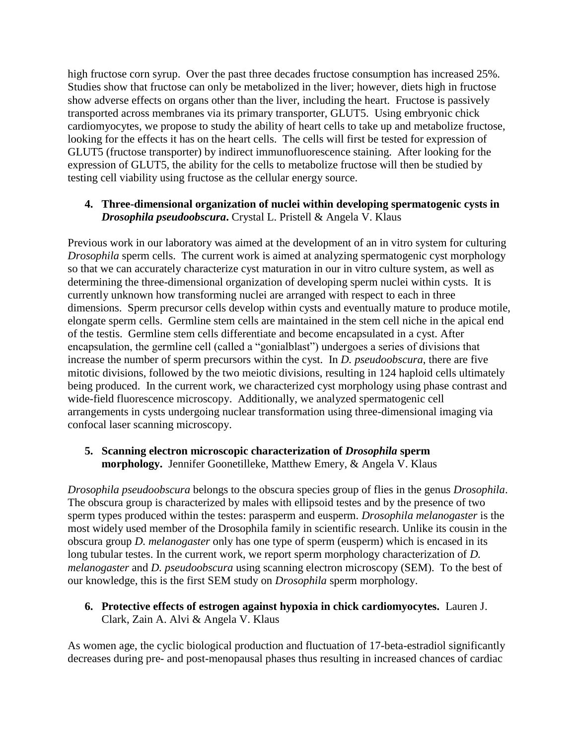high fructose corn syrup. Over the past three decades fructose consumption has increased 25%. Studies show that fructose can only be metabolized in the liver; however, diets high in fructose show adverse effects on organs other than the liver, including the heart. Fructose is passively transported across membranes via its primary transporter, GLUT5. Using embryonic chick cardiomyocytes, we propose to study the ability of heart cells to take up and metabolize fructose, looking for the effects it has on the heart cells. The cells will first be tested for expression of GLUT5 (fructose transporter) by indirect immunofluorescence staining. After looking for the expression of GLUT5, the ability for the cells to metabolize fructose will then be studied by testing cell viability using fructose as the cellular energy source.

### **4. Three-dimensional organization of nuclei within developing spermatogenic cysts in**  *Drosophila pseudoobscura***.** Crystal L. Pristell & Angela V. Klaus

Previous work in our laboratory was aimed at the development of an in vitro system for culturing *Drosophila* sperm cells. The current work is aimed at analyzing spermatogenic cyst morphology so that we can accurately characterize cyst maturation in our in vitro culture system, as well as determining the three-dimensional organization of developing sperm nuclei within cysts. It is currently unknown how transforming nuclei are arranged with respect to each in three dimensions. Sperm precursor cells develop within cysts and eventually mature to produce motile, elongate sperm cells. Germline stem cells are maintained in the stem cell niche in the apical end of the testis. Germline stem cells differentiate and become encapsulated in a cyst. After encapsulation, the germline cell (called a "gonialblast") undergoes a series of divisions that increase the number of sperm precursors within the cyst. In *D. pseudoobscura*, there are five mitotic divisions, followed by the two meiotic divisions, resulting in 124 haploid cells ultimately being produced. In the current work, we characterized cyst morphology using phase contrast and wide-field fluorescence microscopy. Additionally, we analyzed spermatogenic cell arrangements in cysts undergoing nuclear transformation using three-dimensional imaging via confocal laser scanning microscopy.

### **5. Scanning electron microscopic characterization of** *Drosophila* **sperm morphology.** Jennifer Goonetilleke, Matthew Emery, & Angela V. Klaus

*Drosophila pseudoobscura* belongs to the obscura species group of flies in the genus *Drosophila*. The obscura group is characterized by males with ellipsoid testes and by the presence of two sperm types produced within the testes: parasperm and eusperm. *Drosophila melanogaster* is the most widely used member of the Drosophila family in scientific research. Unlike its cousin in the obscura group *D. melanogaster* only has one type of sperm (eusperm) which is encased in its long tubular testes. In the current work, we report sperm morphology characterization of *D*. *melanogaster* and *D. pseudoobscura* using scanning electron microscopy (SEM). To the best of our knowledge, this is the first SEM study on *Drosophila* sperm morphology.

### **6. Protective effects of estrogen against hypoxia in chick cardiomyocytes.** Lauren J. Clark, Zain A. Alvi & Angela V. Klaus

As women age, the cyclic biological production and fluctuation of 17-beta-estradiol significantly decreases during pre- and post-menopausal phases thus resulting in increased chances of cardiac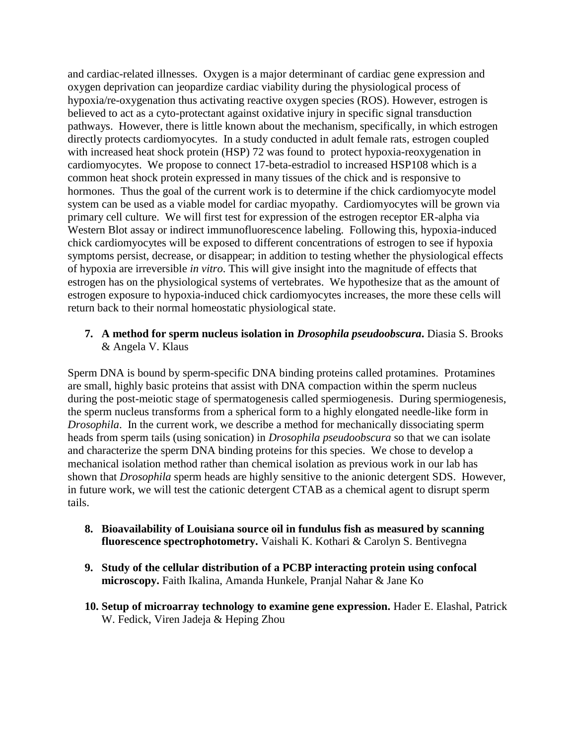and cardiac-related illnesses. Oxygen is a major determinant of cardiac gene expression and oxygen deprivation can jeopardize cardiac viability during the physiological process of hypoxia/re-oxygenation thus activating reactive oxygen species (ROS). However, estrogen is believed to act as a cyto-protectant against oxidative injury in specific signal transduction pathways. However, there is little known about the mechanism, specifically, in which estrogen directly protects cardiomyocytes. In a study conducted in adult female rats, estrogen coupled with increased heat shock protein (HSP) 72 was found to protect hypoxia-reoxygenation in cardiomyocytes. We propose to connect 17-beta-estradiol to increased HSP108 which is a common heat shock protein expressed in many tissues of the chick and is responsive to hormones. Thus the goal of the current work is to determine if the chick cardiomyocyte model system can be used as a viable model for cardiac myopathy. Cardiomyocytes will be grown via primary cell culture. We will first test for expression of the estrogen receptor ER-alpha via Western Blot assay or indirect immunofluorescence labeling. Following this, hypoxia-induced chick cardiomyocytes will be exposed to different concentrations of estrogen to see if hypoxia symptoms persist, decrease, or disappear; in addition to testing whether the physiological effects of hypoxia are irreversible *in vitro*. This will give insight into the magnitude of effects that estrogen has on the physiological systems of vertebrates. We hypothesize that as the amount of estrogen exposure to hypoxia-induced chick cardiomyocytes increases, the more these cells will return back to their normal homeostatic physiological state.

### **7. A method for sperm nucleus isolation in** *Drosophila pseudoobscura***.** Diasia S. Brooks & Angela V. Klaus

Sperm DNA is bound by sperm-specific DNA binding proteins called protamines. Protamines are small, highly basic proteins that assist with DNA compaction within the sperm nucleus during the post-meiotic stage of spermatogenesis called spermiogenesis. During spermiogenesis, the sperm nucleus transforms from a spherical form to a highly elongated needle-like form in *Drosophila*. In the current work, we describe a method for mechanically dissociating sperm heads from sperm tails (using sonication) in *Drosophila pseudoobscura* so that we can isolate and characterize the sperm DNA binding proteins for this species. We chose to develop a mechanical isolation method rather than chemical isolation as previous work in our lab has shown that *Drosophila* sperm heads are highly sensitive to the anionic detergent SDS. However, in future work, we will test the cationic detergent CTAB as a chemical agent to disrupt sperm tails.

- **8. Bioavailability of Louisiana source oil in fundulus fish as measured by scanning fluorescence spectrophotometry.** Vaishali K. Kothari & Carolyn S. Bentivegna
- **9. Study of the cellular distribution of a PCBP interacting protein using confocal microscopy.** Faith Ikalina, Amanda Hunkele, Pranjal Nahar & Jane Ko
- **10. Setup of microarray technology to examine gene expression.** Hader E. Elashal, Patrick W. Fedick, Viren Jadeja & Heping Zhou